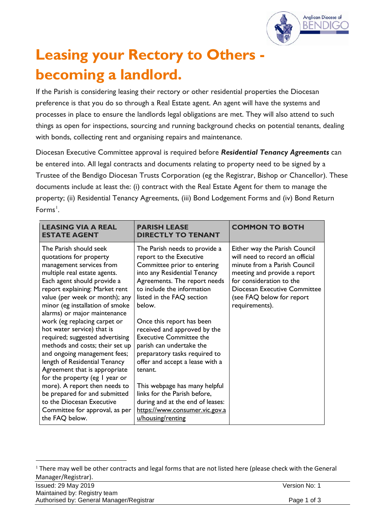

# **Leasing your Rectory to Others becoming a landlord.**

If the Parish is considering leasing their rectory or other residential properties the Diocesan preference is that you do so through a Real Estate agent. An agent will have the systems and processes in place to ensure the landlords legal obligations are met. They will also attend to such things as open for inspections, sourcing and running background checks on potential tenants, dealing with bonds, collecting rent and organising repairs and maintenance.

Diocesan Executive Committee approval is required before *Residential Tenancy Agreements* can be entered into. All legal contracts and documents relating to property need to be signed by a Trustee of the Bendigo Diocesan Trusts Corporation (eg the Registrar, Bishop or Chancellor). These documents include at least the: (i) contract with the Real Estate Agent for them to manage the property; (ii) Residential Tenancy Agreements, (iii) Bond Lodgement Forms and (iv) Bond Return Forms<sup>[1](#page-0-0)</sup>.

| <b>LEASING VIA A REAL</b><br><b>ESTATE AGENT</b>                                                                                                                                                                                                                                                                                                                                                                                                                                                                                                                                                                                                                                             | <b>PARISH LEASE</b><br><b>DIRECTLY TO TENANT</b>                                                                                                                                                                                                                                                                                                                                                                                                                                                                                                                              | <b>COMMON TO BOTH</b>                                                                                                                                                                                                                       |
|----------------------------------------------------------------------------------------------------------------------------------------------------------------------------------------------------------------------------------------------------------------------------------------------------------------------------------------------------------------------------------------------------------------------------------------------------------------------------------------------------------------------------------------------------------------------------------------------------------------------------------------------------------------------------------------------|-------------------------------------------------------------------------------------------------------------------------------------------------------------------------------------------------------------------------------------------------------------------------------------------------------------------------------------------------------------------------------------------------------------------------------------------------------------------------------------------------------------------------------------------------------------------------------|---------------------------------------------------------------------------------------------------------------------------------------------------------------------------------------------------------------------------------------------|
| The Parish should seek<br>quotations for property<br>management services from<br>multiple real estate agents.<br>Each agent should provide a<br>report explaining: Market rent<br>value (per week or month); any<br>minor (eg installation of smoke<br>alarms) or major maintenance<br>work (eg replacing carpet or<br>hot water service) that is<br>required; suggested advertising<br>methods and costs; their set up<br>and ongoing management fees;<br>length of Residential Tenancy<br>Agreement that is appropriate<br>for the property (eg I year or<br>more). A report then needs to<br>be prepared for and submitted<br>to the Diocesan Executive<br>Committee for approval, as per | The Parish needs to provide a<br>report to the Executive<br>Committee prior to entering<br>into any Residential Tenancy<br>Agreements. The report needs<br>to include the information<br>listed in the FAQ section<br>below.<br>Once this report has been<br>received and approved by the<br><b>Executive Committee the</b><br>parish can undertake the<br>preparatory tasks required to<br>offer and accept a lease with a<br>tenant.<br>This webpage has many helpful<br>links for the Parish before,<br>during and at the end of leases:<br>https://www.consumer.vic.gov.a | Either way the Parish Council<br>will need to record an official<br>minute from a Parish Council<br>meeting and provide a report<br>for consideration to the<br>Diocesan Executive Committee<br>(see FAQ below for report<br>requirements). |
| the FAQ below.                                                                                                                                                                                                                                                                                                                                                                                                                                                                                                                                                                                                                                                                               | u/housing/renting                                                                                                                                                                                                                                                                                                                                                                                                                                                                                                                                                             |                                                                                                                                                                                                                                             |

<span id="page-0-0"></span><sup>&</sup>lt;sup>1</sup> There may well be other contracts and legal forms that are not listed here (please check with the General Manager/Registrar).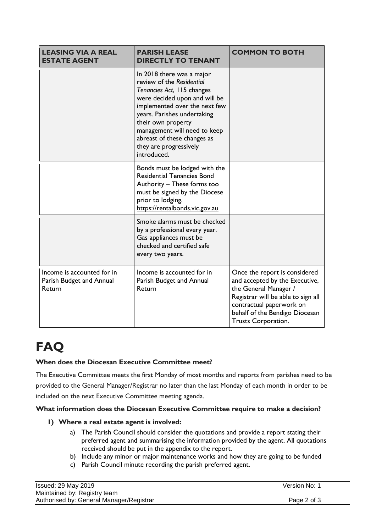| <b>LEASING VIA A REAL</b><br><b>ESTATE AGENT</b>                 | <b>PARISH LEASE</b><br><b>DIRECTLY TO TENANT</b>                                                                                                                                                                                                                                                                    | <b>COMMON TO BOTH</b>                                                                                                                                                                                               |
|------------------------------------------------------------------|---------------------------------------------------------------------------------------------------------------------------------------------------------------------------------------------------------------------------------------------------------------------------------------------------------------------|---------------------------------------------------------------------------------------------------------------------------------------------------------------------------------------------------------------------|
|                                                                  | In 2018 there was a major<br>review of the Residential<br>Tenancies Act, 115 changes<br>were decided upon and will be<br>implemented over the next few<br>years. Parishes undertaking<br>their own property<br>management will need to keep<br>abreast of these changes as<br>they are progressively<br>introduced. |                                                                                                                                                                                                                     |
|                                                                  | Bonds must be lodged with the<br><b>Residential Tenancies Bond</b><br>Authority - These forms too<br>must be signed by the Diocese<br>prior to lodging.<br>https://rentalbonds.vic.gov.au                                                                                                                           |                                                                                                                                                                                                                     |
|                                                                  | Smoke alarms must be checked<br>by a professional every year.<br>Gas appliances must be<br>checked and certified safe<br>every two years.                                                                                                                                                                           |                                                                                                                                                                                                                     |
| Income is accounted for in<br>Parish Budget and Annual<br>Return | Income is accounted for in<br>Parish Budget and Annual<br>Return                                                                                                                                                                                                                                                    | Once the report is considered<br>and accepted by the Executive,<br>the General Manager /<br>Registrar will be able to sign all<br>contractual paperwork on<br>behalf of the Bendigo Diocesan<br>Trusts Corporation. |

# **FAQ**

# **When does the Diocesan Executive Committee meet?**

The Executive Committee meets the first Monday of most months and reports from parishes need to be provided to the General Manager/Registrar no later than the last Monday of each month in order to be included on the next Executive Committee meeting agenda.

# **What information does the Diocesan Executive Committee require to make a decision?**

# **1) Where a real estate agent is involved:**

- a) The Parish Council should consider the quotations and provide a report stating their preferred agent and summarising the information provided by the agent. All quotations received should be put in the appendix to the report.
- b) Include any minor or major maintenance works and how they are going to be funded
- c) Parish Council minute recording the parish preferred agent.

| Issued: 29 May 2019                      | Version No: 1 |
|------------------------------------------|---------------|
| Maintained by: Registry team             |               |
| Authorised by: General Manager/Registrar | Page 2 of 3   |
|                                          |               |